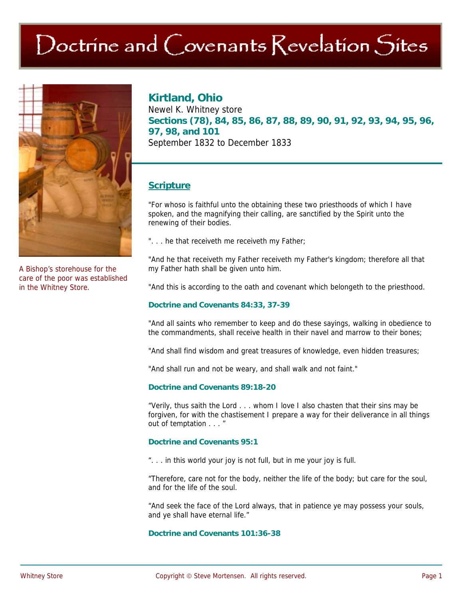# $\bigcirc$  Doctrine and  $\bigcirc$  ovenants  $\bigcirc$  evelation  $\bigcirc$ ites



A Bishop's storehouse for the care of the poor was established in the Whitney Store.

## **Kirtland, Ohio**

Newel K. Whitney store **Sections (78), 84, 85, 86, 87, 88, 89, 90, 91, 92, 93, 94, 95, 96, 97, 98, and 101**  September 1832 to December 1833

## **Scripture**

"For whoso is faithful unto the obtaining these two priesthoods of which I have spoken, and the magnifying their calling, are sanctified by the Spirit unto the renewing of their bodies.

"... he that receiveth me receiveth my Father;

"And he that receiveth my Father receiveth my Father's kingdom; therefore all that my Father hath shall be given unto him.

"And this is according to the oath and covenant which belongeth to the priesthood.

#### **Doctrine and Covenants 84:33, 37-39**

"And all saints who remember to keep and do these sayings, walking in obedience to the commandments, shall receive health in their navel and marrow to their bones;

"And shall find wisdom and great treasures of knowledge, even hidden treasures;

"And shall run and not be weary, and shall walk and not faint."

#### **Doctrine and Covenants 89:18-20**

"Verily, thus saith the Lord . . . whom I love I also chasten that their sins may be forgiven, for with the chastisement I prepare a way for their deliverance in all things out of temptation . . . "

#### **Doctrine and Covenants 95:1**

". . . in this world your joy is not full, but in me your joy is full.

"Therefore, care not for the body, neither the life of the body; but care for the soul, and for the life of the soul.

"And seek the face of the Lord always, that in patience ye may possess your souls, and ye shall have eternal life."

#### **Doctrine and Covenants 101:36-38**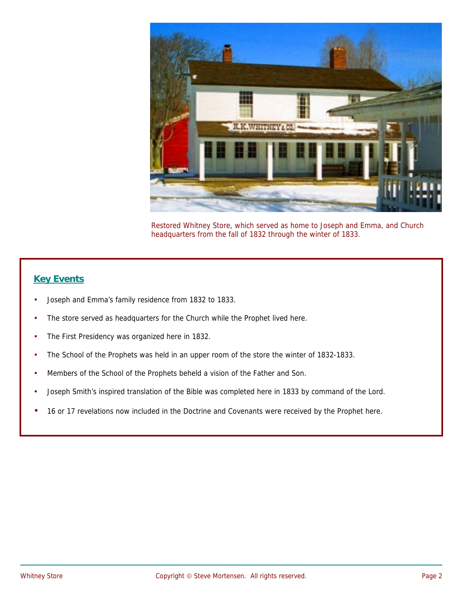

Restored Whitney Store, which served as home to Joseph and Emma, and Church headquarters from the fall of 1832 through the winter of 1833.

## **Key Events**

- Joseph and Emma's family residence from 1832 to 1833.
- The store served as headquarters for the Church while the Prophet lived here.
- The First Presidency was organized here in 1832.
- The School of the Prophets was held in an upper room of the store the winter of 1832-1833.
- Members of the School of the Prophets beheld a vision of the Father and Son.
- Joseph Smith's inspired translation of the Bible was completed here in 1833 by command of the Lord.
- 16 or 17 revelations now included in the Doctrine and Covenants were received by the Prophet here.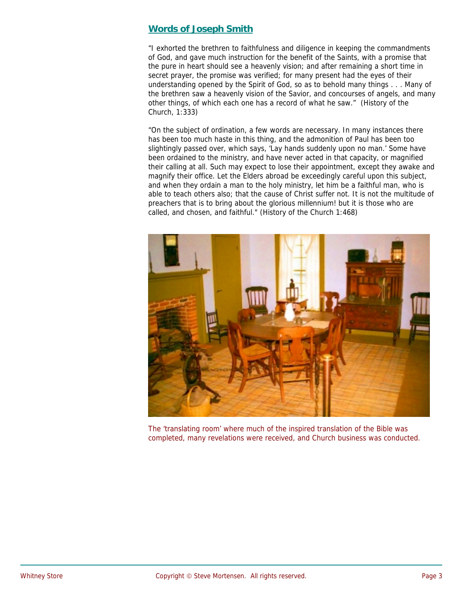### **Words of Joseph Smith**

"I exhorted the brethren to faithfulness and diligence in keeping the commandments of God, and gave much instruction for the benefit of the Saints, with a promise that the pure in heart should see a heavenly vision; and after remaining a short time in secret prayer, the promise was verified; for many present had the eyes of their understanding opened by the Spirit of God, so as to behold many things . . . Many of the brethren saw a heavenly vision of the Savior, and concourses of angels, and many other things, of which each one has a record of what he saw." (History of the Church, 1:333)

"On the subject of ordination, a few words are necessary. In many instances there has been too much haste in this thing, and the admonition of Paul has been too slightingly passed over, which says, 'Lay hands suddenly upon no man.' Some have been ordained to the ministry, and have never acted in that capacity, or magnified their calling at all. Such may expect to lose their appointment, except they awake and magnify their office. Let the Elders abroad be exceedingly careful upon this subject, and when they ordain a man to the holy ministry, let him be a faithful man, who is able to teach others also; that the cause of Christ suffer not. It is not the multitude of preachers that is to bring about the glorious millennium! but it is those who are called, and chosen, and faithful." (History of the Church 1:468)



The 'translating room' where much of the inspired translation of the Bible was completed, many revelations were received, and Church business was conducted.